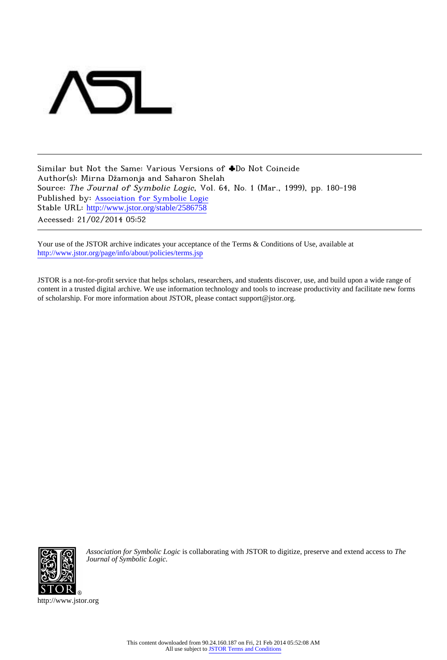

Similar but Not the Same: Various Versions of ♣Do Not Coincide Author(s): Mirna Džamonja and Saharon Shelah Source: The Journal of Symbolic Logic, Vol. 64, No. 1 (Mar., 1999), pp. 180-198 Published by: [Association for Symbolic Logic](http://www.jstor.org/action/showPublisher?publisherCode=asl) Stable URL: [http://www.jstor.org/stable/2586758](http://www.jstor.org/stable/2586758?origin=JSTOR-pdf) Accessed: 21/02/2014 05:52

Your use of the JSTOR archive indicates your acceptance of the Terms & Conditions of Use, available at <http://www.jstor.org/page/info/about/policies/terms.jsp>

JSTOR is a not-for-profit service that helps scholars, researchers, and students discover, use, and build upon a wide range of content in a trusted digital archive. We use information technology and tools to increase productivity and facilitate new forms of scholarship. For more information about JSTOR, please contact support@jstor.org.



*Association for Symbolic Logic* is collaborating with JSTOR to digitize, preserve and extend access to *The Journal of Symbolic Logic.*

http://www.jstor.org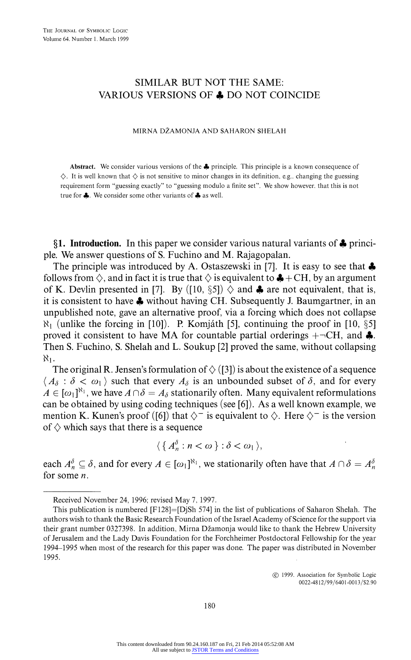## **SIMILAR BUT NOT THE SAME: VARIOUS VERSIONS OF 4 DO NOT COINCIDE**

#### **MIRNA DZAMONJA AND SAHARON SHELAH**

**Abstract. We consider various versions of the 4 principle. This principle is a known consequence of**   $\diamondsuit$ . It is well known that  $\diamondsuit$  is not sensitive to minor changes in its definition, e.g., changing the guessing **requirement form "guessing exactly" to "guessing module a finite set". We show however. that this is not true for 4. We consider some other variants of 4 as well.** 

**?1. Introduction. In this paper we consider various natural variants of 4 principle. We answer questions of S. Fuchino and M. Rajagopalan.** 

**The principle was introduced by A. Ostaszewski in [7]. It is easy to see that 4 follows from**  $\Diamond$ **, and in fact it is true that**  $\Diamond$  **is equivalent to**  $\clubsuit$  **+ CH, by an argument** of K. Devlin presented in [7]. By ([10,  $\S5$ ])  $\diamond$  and  $\clubsuit$  are not equivalent, that is, **it is consistent to have 4 without having CH. Subsequently J. Baumgartner, in an unpublished note, gave an alternative proof, via a forcing which does not collapse N, (unlike the forcing in [10]). P. Komjaith [5], continuing the proof in [10, ?5]**  proved it consistent to have MA for countable partial orderings  $+ \neg CH$ , and  $\clubsuit$ . **Then S. Fuchino, S. Shelah and L. Soukup [2] proved the same, without collapsing**   $N_{1}$ .

The original R. Jensen's formulation of  $\Diamond$  ([3]) is about the existence of a sequence  $\langle A_{\delta} : \delta < \omega_1 \rangle$  such that every  $A_{\delta}$  is an unbounded subset of  $\delta$ , and for every  $A \in [\omega_1]^{\aleph_1}$ , we have  $A \cap \delta = A_\delta$  stationarily often. Many equivalent reformulations **can be obtained by using coding techniques (see [6]). As a well known example, we mention K. Kunen's proof ([6]) that**  $\Diamond^-$  **is equivalent to**  $\Diamond$ **. Here**  $\Diamond^-$  **is the version** of  $\diamondsuit$  which says that there is a sequence

$$
\langle \{A_n^{\delta} : n < \omega \} : \delta < \omega_1 \rangle,
$$

each  $A_n^{\delta} \subseteq \delta$ , and for every  $A \in [\omega_1]^{N_1}$ , we stationarily often have that  $A \cap \delta = A_n^{\delta}$ **for some n.** 

**(K) 1999. Association for Synmbolic Logic 0022-4812/99/6401-001 3/S2.90** 

**Received November 24, 1996; revised May 7. 1997.** 

**This publication is numbered [F128]=[DjSh 574] in the list of publications of Saharon Shelah. The authors wish to thank the Basic Research Foundation of the Israel Academy of Science for the support via**  their grant number 0327398. In addition, Mirna Džamonja would like to thank the Hebrew University **of Jerusalem and the Lady Davis Foundation for the Forchheimer Postdoctoral Fellowship for the year 1994-1995 when most of the research for this paper was done. The paper was distributed in November 1995.**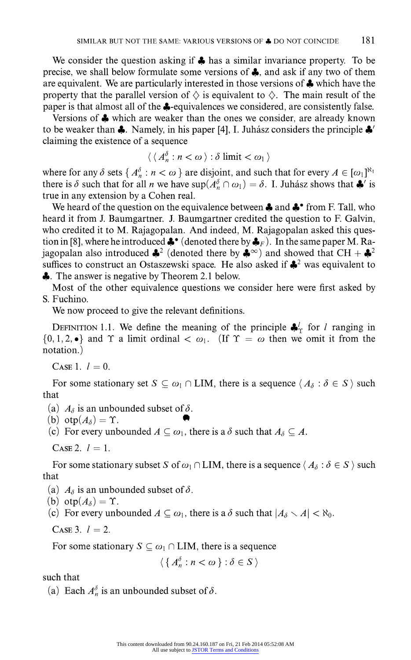**We consider the question asking if 4 has a similar invariance property. To be precise, we shall below formulate some versions of 4, and ask if any two of them are equivalent. We are particularly interested in those versions of 4 which have the**  property that the parallel version of  $\Diamond$  is equivalent to  $\Diamond$ . The main result of the **paper is that almost all of the 4-equivalences we considered, are consistently false.** 

**Versions of 4 which are weaker than the ones we consider, are already known**  to be weaker than  $\clubsuit$ . Namely, in his paper [4], I. Juhász considers the principle  $\clubsuit'$ **claiming the existence of a sequence** 

$$
\langle \langle A_n^{\delta} : n < \omega \rangle : \delta \text{ limit} < \omega_1 \rangle
$$

where for any  $\delta$  sets  $\{A_n^{\delta} : n < \omega\}$  are disjoint, and such that for every  $A \in [\omega_1]^{N_1}$ there is  $\delta$  such that for all *n* we have  $\sup(A_n^{\delta} \cap \omega_1) = \delta$ . I. Juhasz shows that  $\clubsuit$  is **true in any extension by a Cohen real.** 

We heard of the question on the equivalence between  $\clubsuit$  and  $\clubsuit$  from F. Tall, who **heard it from J. Baumgartner. J. Baumgartner credited the question to F. Galvin, who credited it to M. Rajagopalan. And indeed, M. Rajagopalan asked this ques**tion in [8], where he introduced  $\clubsuit$  (denoted there by  $\clubsuit$ <sub>F</sub>). In the same paper M. Ra**jagopalan also introduced**  $\clubsuit^2$  **(denoted there by**  $\clubsuit^{\infty}$ **) and showed that CH +**  $\clubsuit^2$ **suffices to construct an Ostaszewski space. He also asked if 42 was equivalent to 4.** The answer is negative by Theorem 2.1 below.

**Most of the other equivalence questions we consider here were first asked by S. Fuchino.** 

**We now proceed to give the relevant definitions.** 

**DEFINITION 1.1.** We define the meaning of the principle  $\clubsuit^1$  for *l* ranging in  $\{0, 1, 2, \bullet\}$  and  $\Upsilon$  a limit ordinal  $\langle \omega_1, \dots, \omega_n \rangle$  (If  $\Upsilon = \omega$  then we omit it from the **notation.)** 

**CASE 1.**  $l = 0$ .

For some stationary set  $S \subseteq \omega_1 \cap \text{LIM}$ , there is a sequence  $\langle A_\delta : \delta \in S \rangle$  such **that** 

(a)  $A_{\delta}$  is an unbounded subset of  $\delta$ .

 $(b)$  **otp** $(A_{\delta}) = \Upsilon$ .

(c) For every unbounded  $A \subseteq \omega_1$ , there is a  $\delta$  such that  $A_{\delta} \subseteq A$ .

 $CASE 2.$   $l = 1.$ 

For some stationary subset S of  $\omega_1 \cap \text{LIM}$ , there is a sequence  $\langle A_\delta : \delta \in S \rangle$  such **that** 

- (a)  $A_{\delta}$  is an unbounded subset of  $\delta$ .
- (b)  $otp(A_{\delta}) = \Upsilon$ .
- (c) For every unbounded  $A \subseteq \omega_1$ , there is a  $\delta$  such that  $|A_{\delta} \setminus A| < \aleph_0$ .

**CASE 3.**  $l = 2$ .

For some stationary  $S \subseteq \omega_1 \cap \text{LIM}$ , there is a sequence

$$
\langle \{A_n^{\delta} : n < \omega \} : \delta \in S \rangle
$$

**such that** 

(a) Each  $A_n^{\delta}$  is an unbounded subset of  $\delta$ .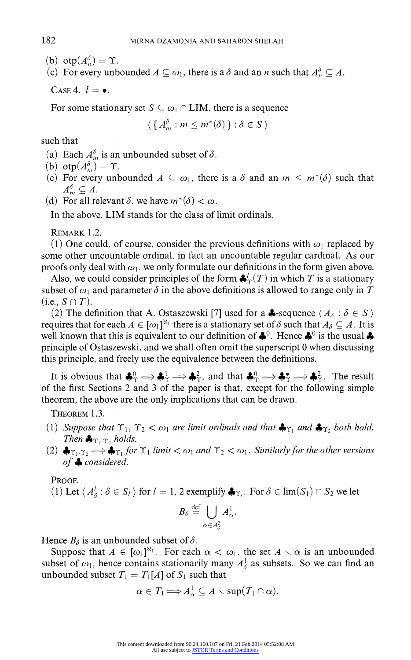(b)  $otp(A_n^{\delta}) = \Upsilon$ .

(c) For every unbounded  $A \subseteq \omega_1$ , there is a  $\delta$  and an n such that  $A_n^{\delta} \subseteq A$ .

CASE 4.  $l=$   $\bullet$ .

For some stationary set  $S \subseteq \omega_1 \cap \text{LIM}$ , there is a sequence

 $\langle \{A_m^{\delta}: m \leq m^*(\delta)\} : \delta \in S \rangle$ 

**such that** 

- (a) Each  $A_m^{\delta}$  is an unbounded subset of  $\delta$ .
- (b)  $otp(A_m^{\delta}) = \Upsilon$ .
- (c) For every unbounded  $A \subseteq \omega_1$ , there is a  $\delta$  and an  $m \leq m^*(\delta)$  such that  $A_m^{\delta} \subseteq A$ .
- (d) For all relevant  $\delta$ , we have  $m^*(\delta) < \omega$ .

**In the above, LIM stands for the class of limit ordinals.** 

**REMARK 1.2.** 

(1) One could, of course, consider the previous definitions with  $\omega_1$  replaced by **some other uncountable ordinal, in fact an uncountable regular cardinal. As our**  proofs only deal with  $\omega_1$ , we only formulate our definitions in the form given above.

Also, we could consider principles of the form  $\clubsuit_{\Upsilon}'(T)$  in which T is a stationary subset of  $\omega_1$  and parameter  $\delta$  in the above definitions is allowed to range only in T  $(i.e., S \cap T).$ 

(2) The definition that A. Ostaszewski [7] used for a **4**-sequence  $\langle A_{\delta} : \delta \in S \rangle$ **requires that for each**  $A \in [\omega_1]^{\aleph_1}$  **there is a stationary set of**  $\delta$  **such that**  $A_{\delta} \subseteq A$ **. It is** well known that this is equivalent to our definition of  $\clubsuit^0$ . Hence  $\clubsuit^0$  is the usual  $\clubsuit$ **principle of Ostaszewski, and we shall often omit the superscript 0 when discussing this principle, and freely use the equivalence between the definitions.** 

It is obvious that  $\clubsuit^0_\Upsilon \Longrightarrow \clubsuit^1_\Upsilon \Longrightarrow \clubsuit^2_\Upsilon$ , and that  $\clubsuit^0_\Upsilon \Longrightarrow \clubsuit^*_\Upsilon \Longrightarrow \clubsuit^2_\Upsilon$ . The result **of the first Sections 2 and 3 of the paper is that, except for the following simple theorem, the above are the only implications that can be drawn.** 

**THEOREM 1.3.** 

- (1) Suppose that  $\Upsilon_1$ ,  $\Upsilon_2 < \omega_1$  are limit ordinals and that  $\clubsuit_{\Upsilon_1}$  and  $\clubsuit_{\Upsilon_2}$  both hold. **Then**  $\clubsuit_{\Upsilon_1 \cdot \Upsilon_2}$  **holds.**
- (2)  $\clubsuit_{\Upsilon_1 \cdot \Upsilon_2} \Rightarrow \clubsuit_{\Upsilon_1}$  for  $\Upsilon_1$  limit  $<\omega_1$  and  $\Upsilon_2 < \omega_1$ . Similarly for the other versions **of 4 considered.**

**PROOF.** 

(1) Let  $\langle A^l_\delta : \delta \in S_l \rangle$  for  $l = 1, 2$  exemplify  $\clubsuit_{\Upsilon_l}$ . For  $\delta \in \lim(S_l) \cap S_2$  we let

$$
B_\delta \stackrel{\rm def}{=} \bigcup_{\alpha \in A^2_\delta} A^1_\alpha.
$$

Hence  $B_{\delta}$  is an unbounded subset of  $\delta$ .

Suppose that  $A \in [\omega_1]^{\aleph_1}$ . For each  $\alpha < \omega_1$ , the set  $A \setminus \alpha$  is an unbounded subset of  $\omega_1$ , hence contains stationarily many  $A^1_\delta$  as subsets. So we can find an unbounded subset  $T_1 = T_1[A]$  of  $S_1$  such that

$$
\alpha\in T_1\Longrightarrow A_\alpha^1\subseteq A\smallsetminus\sup(T_1\cap\alpha).
$$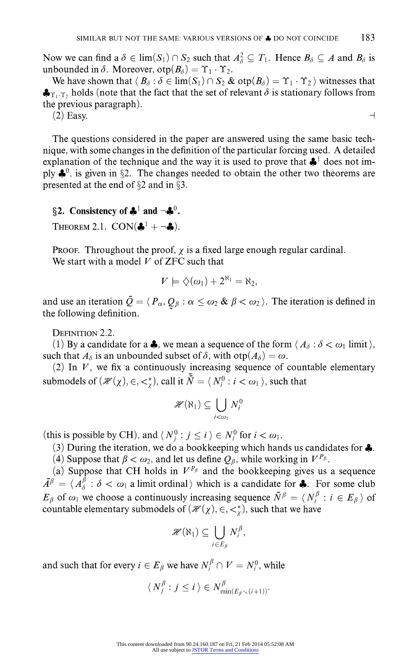Now we can find a  $\delta \in \lim(S_1) \cap S_2$  such that  $A_{\delta}^2 \subseteq T_1$ . Hence  $B_{\delta} \subseteq A$  and  $B_{\delta}$  is unbounded in  $\delta$ . Moreover,  $otp(B_{\delta}) = \Upsilon_1 \cdot \Upsilon_2$ .

We have shown that  $\langle B_\delta : \delta \in \lim(S_1) \cap S_2 \& \text{otp}(\mathcal{B}_\delta) = \Upsilon_1 \cdot \Upsilon_2 \rangle$  witnesses that  $\clubsuit_{\Upsilon_1\cdot\Upsilon}$ , holds (note that the fact that the set of relevant  $\delta$  is stationary follows from **the previous paragraph).** 

(2) Easy.  $\Box$ 

**The questions considered in the paper are answered using the same basic technique, with some changes in the definition of the particular forcing used. A detailed**  explanation of the technique and the way it is used to prove that  $\clubsuit$ <sup>1</sup> does not imply  $\clubsuit^0$ , is given in §2. The changes needed to obtain the other two theorems are **presented at the end of §2 and in §3.** 

# §2. Consistency of  $\clubsuit^1$  and  $\neg \clubsuit^0$ .

**THEOREM 2.1. CON(** $\clubsuit^1 + \neg \clubsuit$ **).** 

**PROOF.** Throughout the proof,  $\chi$  is a fixed large enough regular cardinal. **We start with a model V of ZFC such that** 

$$
V \models \diamondsuit(\omega_1) + 2^{\aleph_1} = \aleph_2,
$$

and use an iteration  $\bar{Q} = (P_{\alpha}, Q_{\beta} : \alpha \leq \omega_2 \& \beta < \omega_2)$ . The iteration is defined in **the following definition.** 

**DEFINITION 2.2.** 

(1) By a candidate for a  $\clubsuit$ , we mean a sequence of the form  $\langle A_\delta : \delta < \omega_1 \text{ limit} \rangle$ , such that  $A_{\delta}$  is an unbounded subset of  $\delta$ , with  $otp(A_{\delta}) = \omega$ .

**(2) In V, we fix a continuously increasing sequence of countable elementary submodels of**  $(\mathcal{H}(\chi), \in, \leq^*_{\chi})$ , call it  $\overline{N} = \langle N_i^0 : i < \omega_1 \rangle$ , such that

$$
\mathscr{H}(\aleph_1)\subseteq\bigcup_{i<\omega_1}N_i^0
$$

(this is possible by CH), and  $\langle N_i^0 : j \le i \rangle \in N_i^0$  for  $i < \omega_1$ .

**(3) During the iteration, we do a bookkeeping which hands us candidates for 4.** 

(4) Suppose that  $\beta < \omega_2$ , and let us define  $Q_\beta$ , while working in  $V^{P_\beta}$ .

(a) Suppose that CH holds in  $V^{P_\beta}$  and the bookkeeping gives us a sequence  $\overline{A}^{\beta} = \langle A_{\delta}^{\beta} : \delta < \omega_1 \text{ a limit ordinal } \rangle$  which is a candidate for **4.** For some club  $E_\beta$  of  $\omega_1$  we choose a continuously increasing sequence  $\overline{N}^\beta = \langle N_i^\beta : i \in E_\beta \rangle$  of countable elementary submodels of  $(\mathcal{H}(\chi), \in, \lt^*_{\chi})$ , such that we have

$$
\mathscr{H}(\aleph_1)\subseteq\bigcup_{i\in E_\beta}N_i^\beta,
$$

and such that for every  $i \in E_\beta$  we have  $N_i^\beta \cap V = N_i^0$ , while

$$
\langle N_j^{\beta} : j \leq i \rangle \in N_{\min(E_{\beta} \setminus (i+1))}^{\beta}
$$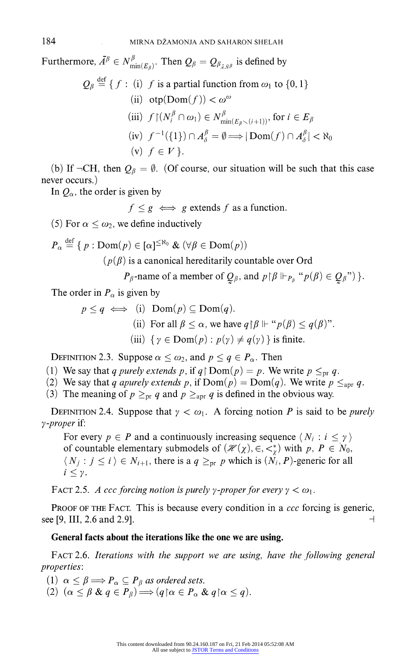Furthermore,  $\bar{A}^{\beta} \in N_{\min(E_{\beta})}^{\beta}$ . Then  $Q_{\beta} = Q_{\beta_{\bar{A},\bar{N}}\beta}$  is defined by

$$
Q_{\beta} \stackrel{\text{def}}{=} \{ f : (i) \ f \text{ is a partial function from } \omega_1 \text{ to } \{0, 1\}
$$
  
\n(ii)  $\text{otp}(\text{Dom}(f)) < \omega^{\omega}$   
\n(iii)  $f \upharpoonright (N_i^{\beta} \cap \omega_1) \in N_{\min(E_{\beta} \setminus (i+1))}^{\beta}, \text{ for } i \in E_{\beta}$   
\n(iv)  $f^{-1}(\{1\}) \cap A_{\delta}^{\beta} = \emptyset \Longrightarrow |\text{Dom}(f) \cap A_{\delta}^{\beta}| < \aleph_0$   
\n(v)  $f \in V \}.$ 

(b) If  $\neg$ CH, then  $Q_\beta = \emptyset$ . (Of course, our situation will be such that this case **never occurs.)** 

In  $Q_{\alpha}$ , the order is given by

 $f \leq g \iff g$  extends  $f$  as a function.

(5) For  $\alpha \leq \omega_2$ , we define inductively

$$
P_{\alpha} \stackrel{\text{def}}{=} \{ p : \text{Dom}(p) \in [\alpha]^{\leq \aleph_0} \& (\forall \beta \in \text{Dom}(p))
$$
  

$$
(p(\beta) \text{ is a canonical hereditary countable over Ord}
$$

 $P_\beta$ -name of a member of  $Q_\beta$ , and  $p \upharpoonright \beta \Vdash_{P_\beta} "p(\beta) \in Q_\beta"$ ) }.

The order in  $P_{\alpha}$  is given by

$$
p \le q \iff (i) \text{ Dom}(p) \subseteq \text{Dom}(q).
$$
  
(ii) For all  $\beta \le \alpha$ , we have  $q \upharpoonright \beta \Vdash "p(\beta) \le q(\beta)$ ".  
(iii)  $\{ \gamma \in \text{Dom}(p) : p(\gamma) \ne q(\gamma) \}$  is finite.

**DEFINITION 2.3. Suppose**  $\alpha \leq \omega_2$ , and  $p \leq q \in P_\alpha$ . Then

- (1) We say that q purely extends p, if  $q \mid Dom(p) = p$ . We write  $p \leq_{pr} q$ .
- (2) We say that q apurely extends p, if  $Dom(p) = Dom(q)$ . We write  $p \leq_{apr} q$ .
- (3) The meaning of  $p \geq_{pr} q$  and  $p \geq_{apr} q$  is defined in the obvious way.

**DEFINITION 2.4. Suppose that**  $\gamma < \omega_1$ **. A forcing notion P is said to be** *purely* **y-proper if:** 

For every  $p \in P$  and a continuously increasing sequence  $\langle N_i : i \leq \gamma \rangle$ of countable elementary submodels of  $(\mathcal{H}(\chi), \in, \leq^*_{\chi})$  with  $p, P \in N_0$ ,  $\langle N_j : j \leq i \rangle \in N_{i+1}$ , there is a  $q \geq_{pr} p$  which is  $(N_i, P)$ -generic for all  $i \leq \gamma$ .

**FACT 2.5.** A ccc forcing notion is purely y-proper for every  $\gamma < \omega_1$ .

**PROOF OF THE FACT. This is because every condition in a ccc forcing is generic,**  see [9, III, 2.6 and 2.9].

#### **General facts about the iterations like the one we are using.**

**FACT 2.6. Iterations with the support we are using, have the following general properties:** 

(1)  $\alpha \leq \beta \Longrightarrow P_{\alpha} \subseteq P_{\beta}$  as ordered sets.

(2)  $(\alpha \leq \beta \& q \in P_{\beta}) \Longrightarrow (q \, \alpha \in P_{\alpha} \& q \, \alpha \leq q).$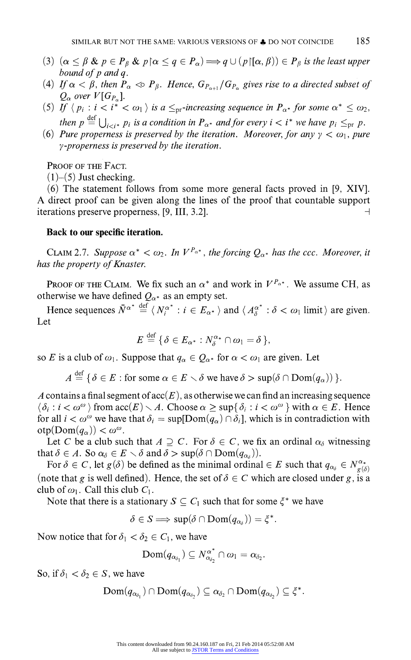- (3)  $(\alpha \leq \beta \& p \in P_{\beta} \& p \, \alpha \leq q \in P_{\alpha}) \Longrightarrow q \cup (p \, | [\alpha, \beta)) \in P_{\beta}$  is the least upper **bound of p and q.**
- (4) If  $\alpha < \beta$ , then  $P_{\alpha} < \beta P_{\beta}$ . Hence,  $G_{P_{\alpha+1}}/G_{P_{\alpha}}$  gives rise to a directed subset of  $Q_{\alpha}$  over  $V[G_{P_{\alpha}}].$
- (5) If  $\langle p_i : i < i^* < \omega_1 \rangle$  is a  $\leq_{\text{pr}}$ -increasing sequence in  $P_{\alpha^*}$  for some  $\alpha^* \leq \omega_2$ , then  $p \stackrel{\text{def}}{=} \bigcup_{i \geq i*} p_i$  is a condition in  $P_{\alpha^*}$  and for every  $i < i^*$  we have  $p_i \leq_{\text{pr}} p$ .
- (6) Pure properness is preserved by the iteration. Moreover, for any  $\gamma < \omega_1$ , pure **y-properness is preserved by the iteration.**

**PROOF OF THE FACT.** 

 $(1)$ – $(5)$  Just checking.

**(6) The statement follows from some more general facts proved in [9, XIV]. A direct proof can be given along the lines of the proof that countable support**  iterations preserve properness,  $[9, III, 3.2]$ .

### **Back to our specific iteration.**

**CLAIM 2.7.** Suppose  $\alpha^* < \omega_2$ . In  $V^{P_{\alpha^*}}$ , the forcing  $Q_{\alpha^*}$  has the ccc. Moreover, it **has the property of Knaster.** 

**PROOF OF THE CLAIM.** We fix such an  $\alpha^*$  and work in  $V^{P_{\alpha^*}}$ . We assume CH, as otherwise we have defined  $Q_{\alpha^*}$  as an empty set.

**Hence sequences**  $\bar{N}^{\alpha^*} \stackrel{\text{def}}{=} \langle N_i^{\alpha^*} : i \in E_{\alpha^*} \rangle$  **and**  $\langle A_{\alpha}^{\alpha^*} : \delta < \omega_1 \text{ limit} \rangle$  **are given. Let** 

$$
E \stackrel{\text{def}}{=} \{ \delta \in E_{\alpha^*} : N_{\delta}^{\alpha_*} \cap \omega_1 = \delta \},
$$

so E is a club of  $\omega_1$ . Suppose that  $q_\alpha \in Q_{\alpha^*}$  for  $\alpha < \omega_1$  are given. Let

 $A \stackrel{\text{def}}{=} {\delta \in E : \text{for some } \alpha \in E \setminus \delta \text{ we have } \delta > \sup(\delta \cap \text{Dom}(q_{\alpha})) }$ .

A contains a final segment of  $\operatorname{acc}(E)$ , as otherwise we can find an increasing sequence  $\langle \delta_i : i < \omega^{\omega} \rangle$  from  $\mathrm{acc}(E) \setminus A$ . Choose  $\alpha \geq \sup\{\delta_i : i < \omega^{\omega}\}\$  with  $\alpha \in E$ . Hence for all  $i < \omega^{\omega}$  we have that  $\delta_i = \sup[Dom(q_{\alpha}) \cap \delta_i]$ , which is in contradiction with  $otp(Dom(q_{\alpha})) < \omega^{\omega}$ .

Let C be a club such that  $A \supseteq C$ . For  $\delta \in C$ , we fix an ordinal  $\alpha_{\delta}$  witnessing **that**  $\delta \in A$ . So  $\alpha_{\delta} \in E \setminus \delta$  and  $\delta > \sup(\delta \cap \text{Dom}(q_{\alpha_{\delta}})).$ 

For  $\delta \in C$ , let  $g(\delta)$  be defined as the minimal ordinal  $\in E$  such that  $q_{\alpha_{\delta}} \in N^{\alpha_{\star}}_{g(\delta)}$ (note that g is well defined). Hence, the set of  $\delta \in C$  which are closed under g, is a club of  $\omega_1$ . Call this club  $C_1$ .

Note that there is a stationary  $S \subseteq C_1$  such that for some  $\xi^*$  we have

 $\delta \in S \Longrightarrow \sup(\delta \cap \text{Dom}(q_{\alpha_{\delta}})) = \xi^*.$ 

Now notice that for  $\delta_1 < \delta_2 \in C_1$ , we have

$$
\text{Dom}(q_{\alpha_{\delta_1}}) \subseteq N_{\alpha_{\delta_2}}^{\alpha^*} \cap \omega_1 = \alpha_{\delta_2}.
$$

So, if  $\delta_1 < \delta_2 \in S$ , we have

$$
\text{Dom}(q_{\alpha_{\delta_1}}) \cap \text{Dom}(q_{\alpha_{\delta_2}}) \subseteq \alpha_{\delta_2} \cap \text{Dom}(q_{\alpha_{\delta_2}}) \subseteq \xi^*.
$$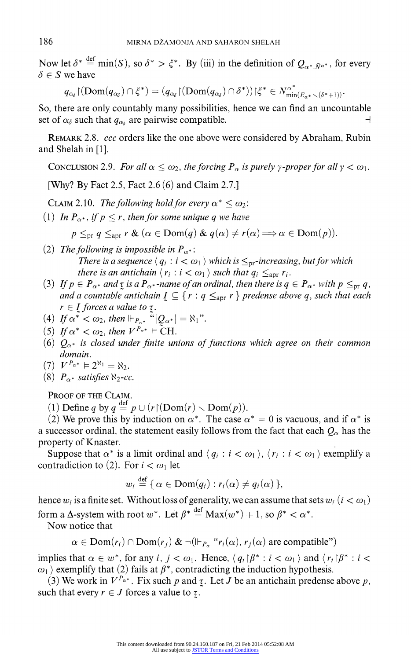Now let  $\delta^* \stackrel{\text{def}}{=} \min(S)$ , so  $\delta^* > \xi^*$ . By (iii) in the definition of  $Q_{\alpha^*, \bar{N}^{\alpha^*}}$ , for every  $\delta \in S$  we have

$$
q_{\alpha_{\delta}}(\mathrm{Dom}(q_{\alpha_{\delta}})\cap \zeta^{*})=(q_{\alpha_{\delta}}(\mathrm{Dom}(q_{\alpha_{\delta}})\cap \delta^{*}))\!\upharpoonright\!\zeta^{*}\in N_{\mathrm{min}(E_{\alpha^{*}}\smallsetminus (\delta^{*}+1))}^{\alpha^{*}}
$$

**So, there are only countably many possibilities, hence we can find an uncountable**  set of  $\alpha_{\delta}$  such that  $q_{\alpha_{\delta}}$  are pairwise compatible.

**REMARK 2.8. ccc orders like the one above were considered by Abraham, Rubin and Shelah in [1].** 

**CONCLUSION 2.9.** For all  $\alpha \leq \omega_2$ , the forcing  $P_\alpha$  is purely y-proper for all  $\gamma < \omega_1$ .

**[Why? By Fact 2.5, Fact 2.6 (6) and Claim 2.7.]** 

**CLAIM 2.10.** The following hold for every  $\alpha^* \leq \omega_2$ :

(1) In  $P_{\alpha^*}$ , if  $p \leq r$ , then for some unique q we have

 $p \leq_{\text{pr}} q \leq_{\text{apr}} r \& (\alpha \in \text{Dom}(q) \& q(\alpha) \neq r(\alpha) \Longrightarrow \alpha \in \text{Dom}(p)).$ 

- (2) The following is impossible in  $P_{\alpha^*}$ : There is a sequence  $\langle q_i : i < \omega_1 \rangle$  which is  $\leq_{\text{pr}}$ -increasing, but for which **there is an antichain**  $\langle r_i : i < \omega_1 \rangle$  such that  $q_i \leq_{\text{apr}} r_i$ .
- (3) If  $p \in P_{\alpha^*}$  and  $\tau$  is a  $P_{\alpha^*}$ -name of an ordinal, then there is  $q \in P_{\alpha^*}$  with  $p \leq_{\text{pr}} q$ , **and a countable antichain**  $I \subseteq \{r : q \leq_{\text{apr}} r\}$  **predense above q, such that each**  $r \in I$  forces a value to  $\tau$ .
- (4) If  $\alpha^* < \omega_2$ , then  $\Vdash_{P_{\alpha^*}}$  " $|Q_{\alpha^*}| = \aleph_1$ ".
- (5) If  $\alpha^* < \omega_2$ , then  $V^{P_{\alpha^*}} \models \text{CH}$ .
- (6)  $Q_{\alpha^*}$  is closed under finite unions of functions which agree on their common **domain.**

$$
(7) V^{P_{\alpha^*}} \vDash 2^{\aleph_1} = \aleph_2.
$$

(8)  $P_{\alpha^*}$  satisfies  $\aleph_2$ -cc.

**PROOF OF THE CLAIM.** 

(1) Define q by  $q \stackrel{\text{def}}{=} p \cup (r \upharpoonright (\text{Dom}(r) \smallsetminus \text{Dom}(p)))$ 

 $\mathbf{d} \cdot \mathbf{c}$ 

(2) We prove this by induction on  $\alpha^*$ . The case  $\alpha^* = 0$  is vacuous, and if  $\alpha^*$  is **a** successor ordinal, the statement easily follows from the fact that each  $Q_\alpha$  has the **property of Knaster.** 

**Suppose that**  $\alpha^*$  **is a limit ordinal and**  $\langle q_i : i < \omega_1 \rangle$ **,**  $\langle r_i : i < \omega_1 \rangle$  **exemplify a** contradiction to (2). For  $i < \omega_1$  let

$$
w_i \stackrel{\text{def}}{=} \{ \alpha \in \text{Dom}(q_i) : r_i(\alpha) \neq q_i(\alpha) \},
$$

hence  $w_i$  is a finite set. Without loss of generality, we can assume that sets  $w_i$  ( $i < \omega_1$ ) form a  $\Delta$ -system with root  $w^*$ . Let  $\beta^* \stackrel{\text{def}}{=} \text{Max}(w^*) + 1$ , so  $\beta^* < \alpha^*$ .

**Now notice that** 

$$
\alpha \in \text{Dom}(r_i) \cap \text{Dom}(r_j) \& \neg(\Vdash_{P_\alpha} "r_i(\alpha), r_j(\alpha) \text{ are compatible})
$$

implies that  $\alpha \in w^*$ , for any  $i, j < \omega_1$ . Hence,  $\langle q_i | \beta^* : i < \omega_1 \rangle$  and  $\langle r_i | \beta^* : i < \omega_1 \rangle$  $\omega_1$  exemplify that (2) fails at  $\beta^*$ , contradicting the induction hypothesis.

(3) We work in  $V^{P_{\alpha^*}}$ . Fix such p and  $\tau$ . Let J be an antichain predense above p, such that every  $r \in J$  forces a value to  $\tau$ .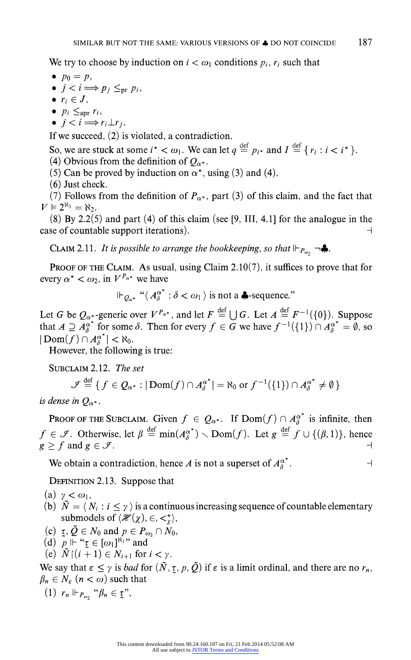We try to choose by induction on  $i < \omega_1$  conditions  $p_i$ ,  $r_i$  such that

- $\bullet$   $p_0 = p$ ,
- $\bullet$   $j < i \Longrightarrow p_j \leq_{\text{pr}} p_i$ ,
- $\bullet$   $r_i \in J$ ,
- $\bullet$   $p_i \leq_{\text{apr}} r_i$ ,
- $\bullet$   $j < i \Longrightarrow r_i \perp r_j$ .

**If we succeed, (2) is violated, a contradiction.** 

So, we are stuck at some  $i^* < \omega_1$ . We can let  $q \stackrel{\text{def}}{=} p_{i^*}$  and  $I \stackrel{\text{def}}{=} \{r_i : i < i^* \}$ . (4) Obvious from the definition of  $Q_{\alpha^*}$ .

- (5) Can be proved by induction on  $\alpha^*$ , using (3) and (4).
- **(6) Just check.**

(7) Follows from the definition of  $P_{\alpha^*}$ , part (3) of this claim, and the fact that  $V \vDash 2^{\aleph_1} = \aleph_2.$ 

**(8) By 2.2(5) and part (4) of this claim (see [9, III, 4.1] for the analogue in the case of countable support iterations).**  $\Box$ 

**CLAIM 2.11.** It is possible to arrange the bookkeeping, so that  $\Vdash_{P_{\omega}} \neg \clubsuit$ .

**PROOF OF THE CLAIM. As usual, using Claim 2.10(7), it suffices to prove that for**  every  $\alpha^* < \omega_2$ , in  $V^{P_{\alpha^*}}$  we have

 $\mathbb{F}_{Q_{\alpha^*}}$  " $\langle A_s^{\alpha^*} : \delta < \omega_1 \rangle$  is not a **4**-sequence."

Let G be  $Q_{\alpha^*}$ -generic over  $V^{P_{\alpha^*}}$ , and let  $F \stackrel{\text{def}}{=} \bigcup G$ . Let  $A \stackrel{\text{def}}{=} F^{-1}(\{0\})$ . Suppose that  $A \supseteq \overline{A_{\delta}^{\alpha}}^*$  for some  $\delta$ . Then for every  $f \in \overline{G}$  we have  $f^{-1}(\{1\}) \cap \overline{A_{\delta}^{\alpha}}^* = \emptyset$ , so  $|\text{Dom}(f) \cap A^{\alpha^*}_{\delta}| < \aleph_0$ .

**However, the following is true:** 

**SUBCLAIM 2.12. The set** 

$$
\mathscr{F} \stackrel{\text{def}}{=} \{ f \in \mathcal{Q}_{\alpha^*} : |\text{Dom}(f) \cap A_{\delta}^{\alpha^*}| = \aleph_0 \text{ or } f^{-1}(\{1\}) \cap A_{\delta}^{\alpha^*} \neq \emptyset \}
$$

is dense in  $Q_{\alpha^*}$ .

**PROOF OF THE SUBCLAIM.** Given  $f \in Q_{\alpha^*}$ . If  $Dom(f) \cap A_{\delta}^{\alpha^*}$  is infinite, then  $f \in \mathcal{F}$ . Otherwise, let  $\beta \stackrel{\text{def}}{=} \min(A_{\delta}^{\alpha^*}) \setminus \text{Dom}(f)$ . Let  $g \stackrel{\text{def}}{=} f \cup \{(\beta, 1)\}\)$ , hence  $g \ge f$  and  $g \in \mathcal{F}$ .

We obtain a contradiction, hence A is not a superset of  $A_{\delta}^{\alpha^*}$ .

**DEFINITION 2.13. Suppose that** 

(a)  $\gamma < \omega_1$ ,

- **(b)**  $\bar{N} = \langle N_i : i \leq \gamma \rangle$  is a continuous increasing sequence of countable elementary submodels of  $\langle \mathcal{H}(\chi), \in, \lt^*_{\chi} \rangle$ ,
- (c)  $\tau$ ,  $\bar{Q} \in N_0$  and  $p \in P_{\omega_2} \cap N_0$ ,
- (d)  $p \Vdash "r \in [\omega_1]^{\aleph_1}$ " and
- (e)  $\overline{N} \restriction (i+1) \in N_{i+1}$  for  $i < \gamma$ .

We say that  $\epsilon \leq \gamma$  is *bad* for  $(\bar{N}, \tau, p, \bar{Q})$  if  $\epsilon$  is a limit ordinal, and there are no  $r_n$ ,  $\beta_n \in N_{\varepsilon}$   $(n < \omega)$  such that

(1)  $r_n \Vdash_{P_{\omega_2}} \text{``}\beta_n \in \mathfrak{X}"$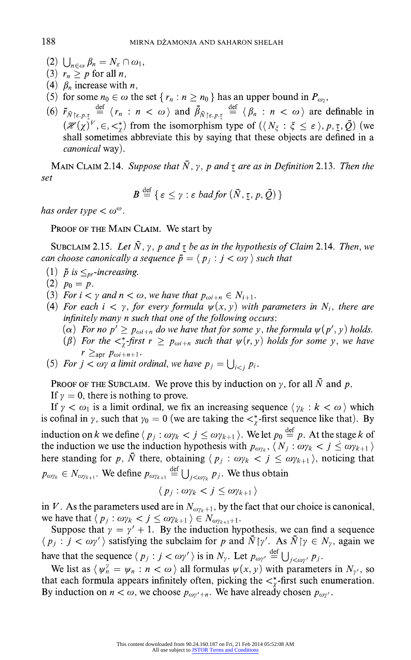- $(2)$   $\bigcup_{n\in\omega}\beta_n=N_{\varepsilon}\cap\omega_1,$
- (3)  $r_n \geq p$  for all *n*,
- (4)  $\beta_n$  increase with *n*,
- (5) for some  $n_0 \in \omega$  the set  $\{r_n : n \geq n_0\}$  has an upper bound in  $P_{\omega_2}$ ,
- (6)  $\bar{r}_{\bar{N}\upharpoonright \varepsilon, p, \tau} \stackrel{\text{def}}{=} \langle r_n : n < \omega \rangle \text{ and } \bar{\beta}_{\bar{N}\upharpoonright \varepsilon, p, \tau} \stackrel{\text{def}}{=} \langle \beta_n : n < \omega \rangle \text{ are definable in }$  $(\mathcal{H}(\chi)^V, \in, \lt^*)$  from the isomorphism type of  $(\langle N_\xi : \xi \leq \varepsilon \rangle, p, \xi, \overline{Q})$  (we **shall sometimes abbreviate this by saying that these objects are defined in a canonical way).**

**MAIN CLAIM 2.14.** Suppose that  $\overline{N}$ ,  $\gamma$ ,  $p$  and  $\tau$  are as in Definition 2.13. Then the **set** 

$$
B \stackrel{\text{def}}{=} \{ \varepsilon \leq \gamma : \varepsilon \text{ bad for } (\bar{N}, \underline{\tau}, p, \bar{Q}) \}
$$

has order type  $< \omega^{\omega}$ .

**PROOF OF THE MAIN CLAIM. We start by** 

**SUBCLAIM 2.15.** Let  $\overline{N}$ ,  $\gamma$ ,  $p$  and  $\tau$  be as in the hypothesis of Claim 2.14. Then, we can choose canonically a sequence  $\bar{p} = \langle p_i : j < \omega \rangle$  such that

- (1)  $\bar{p}$  is  $\leq_{pr}$ -increasing.
- $(2)$   $p_0 = p$ .
- **(3)** For  $i < \gamma$  and  $n < \omega$ , we have that  $p_{\omega i+n} \in N_{i+1}$ .
- **(4)** For each  $i < \gamma$ , for every formula  $\psi(x, y)$  with parameters in  $N_i$ , there are **infinitely many n such that one of the following occurs:** 
	- ( $\alpha$ ) For no  $p' \geq p_{\omega i+n}$  do we have that for some y, the formula  $\psi(p', y)$  holds.
	- ( $\beta$ ) For the  $\lt^*_{\tau}$ -first  $r \geq p_{\omega i+n}$  such that  $\psi(r, y)$  holds for some y, we have  $r \geq_{\text{apr}} p_{\omega i+n+1}$ .
- (5) For  $j < \omega \gamma$  a limit ordinal, we have  $p_j = \bigcup_{i < j} p_i$ .

**PROOF OF THE SUBCLAIM.** We prove this by induction on  $\gamma$ , for all  $\overline{N}$  and  $p$ .

If  $y = 0$ , there is nothing to prove.

If  $\gamma < \omega_1$  is a limit ordinal, we fix an increasing sequence  $\langle \gamma_k : k < \omega \rangle$  which is cofinal in y, such that  $y_0 = 0$  (we are taking the  $\langle x \rangle$ -first sequence like that). By **induction on k** we define  $\langle p_j : \omega p_k < j \leq \omega p_{k+1} \rangle$ . We let  $p_0 \stackrel{\text{def}}{=} p$ . At the stage **k** of **the induction we use the induction hypothesis with**  $p_{\omega_{\gamma_k}}, \langle N_j : \omega_{\gamma_k} < j \leq \omega_{\gamma_{k+1}} \rangle$ here standing for p,  $\bar{N}$  there, obtaining  $\langle p_j : \omega p_k < j \leq \omega p_{k+1} \rangle$ , noticing that  $p_{\omega y_k} \in N_{\omega y_{k+1}}$ . We define  $p_{\omega y_{k+1}} \stackrel{\text{def}}{=} \bigcup_{j < \omega y_k} p_j$ . We thus obtain

$$
\langle p_j : \omega \gamma_k < j \le \omega \gamma_{k+1} \rangle
$$

in V. As the parameters used are in  $N_{\omega\gamma_k+1}$ , by the fact that our choice is canonical, we have that  $\langle p_j : \omega p_k < j \leq \omega p_{k+1} \rangle \in N_{\omega p_{k+1}+1}$ .

Suppose that  $y = y' + 1$ . By the induction hypothesis, we can find a sequence  $\langle p_j : j < \omega y' \rangle$  satisfying the subclaim for p and  $\bar{N} \upharpoonright \gamma'$ . As  $\bar{N} \upharpoonright \gamma \in N_{\gamma}$ , again we have that the sequence  $\langle p_j : j < \omega \gamma' \rangle$  is in  $N_{\gamma}$ . Let  $p_{\omega \gamma'} \stackrel{\text{def}}{=} \bigcup_{j < \omega \gamma'} p_j$ 

We list as  $\langle \psi_n^{\gamma} = \psi_n : n < \omega \rangle$  all formulas  $\psi(x, y)$  with parameters in  $N_{\gamma}$ , so that each formula appears infinitely often, picking the  $\langle \xi \rangle$ -first such enumeration. By induction on  $n < \omega$ , we choose  $p_{\omega y' + n}$ . We have already chosen  $p_{\omega y'}$ .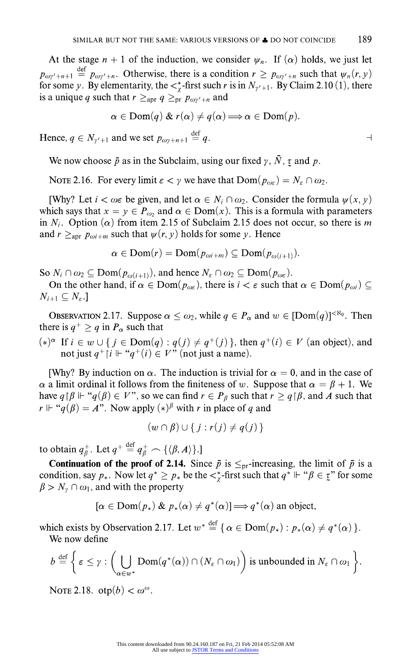At the stage  $n + 1$  of the induction, we consider  $\psi_n$ . If  $(\alpha)$  holds, we just let  $p_{\omega y'+n+1} = p_{\omega y'+n}$ . Otherwise, there is a condition  $r \ge p_{\omega y'+n}$  such that  $\psi_n(r, y)$ for some y. By elementarity, the  $\lt^*_\chi$ -first such r is in  $N_{\gamma'+1}$ . By Claim 2.10 (1), there is a unique q such that  $r \geq_{\text{apr}} q \geq_{\text{pr}} p_{\omega y' + n}$  and

$$
\alpha \in \text{Dom}(q) \& r(\alpha) \neq q(\alpha) \Longrightarrow \alpha \in \text{Dom}(p).
$$

**Hence,**  $q \in N_{\gamma'+1}$  and we set  $p_{\omega \nu+n+1} \stackrel{\text{def}}{=} q$ .

We now choose  $\bar{p}$  as in the Subclaim, using our fixed  $\gamma$ ,  $\bar{N}$ ,  $\tau$  and  $p$ .

**NOTE 2.16.** For every limit  $\epsilon < \gamma$  we have that  $\text{Dom}(p_{\omega\epsilon}) = N_{\epsilon} \cap \omega_2$ .

**[Why?** Let  $i < \omega \in \mathbb{R}$  be given, and let  $\alpha \in N_i \cap \omega_2$ . Consider the formula  $\psi(x, y)$ which says that  $x = y \in P_{\omega_2}$  and  $\alpha \in \text{Dom}(x)$ . This is a formula with parameters in  $N_i$ . Option ( $\alpha$ ) from item 2.15 of Subclaim 2.15 does not occur, so there is m and  $r \geq_{\text{apr}} p_{\omega i+m}$  such that  $\psi(r, y)$  holds for some y. Hence

$$
\alpha \in \text{Dom}(r) = \text{Dom}(p_{\omega i+m}) \subseteq \text{Dom}(p_{\omega(i+1)}).
$$

So  $N_i \cap \omega_2 \subseteq \text{Dom}(p_{\omega(i+1)})$ , and hence  $N_{\varepsilon} \cap \omega_2 \subseteq \text{Dom}(p_{\omega_{\varepsilon}})$ .

On the other hand, if  $\alpha \in \text{Dom}(p_{\omega\epsilon})$ , there is  $i < \epsilon$  such that  $\alpha \in \text{Dom}(p_{\omega i}) \subseteq$  $N_{i+1} \subseteq N_{\varepsilon}$ .

**OBSERVATION 2.17.** Suppose  $\alpha \leq \omega_2$ , while  $q \in P_\alpha$  and  $w \in \text{[Dom}(q)]^{<\aleph_0}$ . Then there is  $q^+ > q$  in  $P_\alpha$  such that

 $(*)^{\alpha}$  If  $i \in w \cup \{j \in Dom(q) : q(j) \neq q^+(j)\}\)$ , then  $q^+(i) \in V$  (an object), and not just  $q^+$   $\upharpoonright i \Vdash "q^+(i) \in V"$  (not just a name).

[Why? By induction on  $\alpha$ . The induction is trivial for  $\alpha = 0$ , and in the case of  $\alpha$  a limit ordinal it follows from the finiteness of w. Suppose that  $\alpha = \beta + 1$ . We have  $q \upharpoonright \beta \Vdash "q(\beta) \in V$ ", so we can find  $r \in P_\beta$  such that  $r \geq q \upharpoonright \beta$ , and A such that  $r \Vdash "q(\beta) = A$ ". Now apply  $(*)^{\beta}$  with r in place of q and

$$
(w \cap \beta) \cup \{j : r(j) \neq q(j)\}\
$$

to obtain  $q_{\beta}^+$ . Let  $q^+ \stackrel{\text{def}}{=} q_{\beta}^+ \frown {\{\langle \beta, A \rangle\}}$ 

**Continuation of the proof of 2.14.** Since  $\bar{p}$  is  $\leq_{\text{pr}}$ -increasing, the limit of  $\bar{p}$  is a condition, say  $p_*$ . Now let  $q^* \geq p_*$  be the  $\lt^*_{\gamma}$ -first such that  $q^* \Vdash ``\beta \in \underline{\tau}"$  for some  $\beta > N_{\nu} \cap \omega_1$ , and with the property

$$
[\alpha \in \text{Dom}(p_*) \& p_*(\alpha) \neq q^*(\alpha)] \Longrightarrow q^*(\alpha) \text{ an object,}
$$

which exists by Observation 2.17. Let  $w^* \stackrel{\text{def}}{=} \{ \alpha \in \text{Dom}(p_*) : p_*(\alpha) \neq q^*(\alpha) \}.$ **We now define** 

$$
b \stackrel{\text{def}}{=} \bigg\{ \varepsilon \leq \gamma : \bigg(\bigcup_{\alpha \in w^*} \text{Dom}(q^*(\alpha)) \cap (N_{\varepsilon} \cap \omega_1)\bigg) \text{ is unbounded in } N_{\varepsilon} \cap \omega_1 \bigg\}.
$$

**NOTE 2.18.**  $otp(b) < \omega^{\omega}$ .

 $\overline{\phantom{0}}$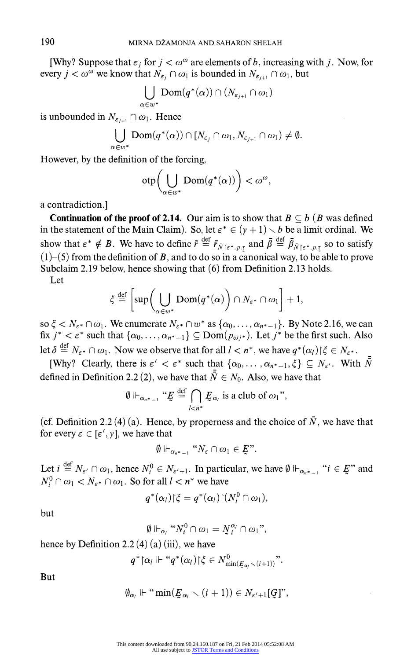**[Why? Suppose that**  $\epsilon_j$  **for**  $j < \omega^\omega$  **are elements of b, increasing with j. Now, for every**  $j < \omega^{\omega}$  we know that  $N_{\varepsilon_i} \cap \omega_1$  is bounded in  $N_{\varepsilon_{i+1}} \cap \omega_1$ , but

$$
\bigcup_{\alpha\in w^*}\mathop{\mathrm{Dom}}\nolimits(q^*(\alpha))\cap (N_{\varepsilon_{j+1}}\cap\omega_1)
$$

**is unbounded in**  $N_{\varepsilon_{i+1}} \cap \omega_1$ . **Hence** 

$$
\bigcup_{\alpha\in w^*}\text{Dom}(q^*(\alpha))\cap [N_{\varepsilon_j}\cap\omega_1,N_{\varepsilon_{j+1}}\cap\omega_1)\neq\emptyset.
$$

**However, by the definition of the forcing,** 

$$
\mathrm{otp}\bigg(\bigcup_{\alpha\in w^*}\mathrm{Dom}(q^*(\alpha))\bigg)<\omega^\omega,
$$

**a contradiction.]** 

**Continuation of the proof of 2.14.** Our aim is to show that  $B \subseteq b$  (B was defined in the statement of the Main Claim). So, let  $\varepsilon^* \in (\gamma + 1) \setminus b$  be a limit ordinal. We show that  $\varepsilon^* \notin B$ . We have to define  $\overline{r} \stackrel{\text{def}}{=} \overline{r}_{\overline{N} \upharpoonright \varepsilon^*, p, \tau}$  and  $\overline{\beta} \stackrel{\text{def}}{=} \overline{\beta}_{\overline{N} \upharpoonright \varepsilon^*, p, \tau}$  so to satisfy **(1)-(5) from the definition of B, and to do so in a canonical way, to be able to prove Subclaim 2.19 below, hence showing that (6) from Definition 2.13 holds.** 

**Let** 

$$
\xi \stackrel{\text{def}}{=} \left[ \sup \left( \bigcup_{\alpha \in w^*} \text{Dom}(q^*(\alpha) \right) \cap N_{\varepsilon^*} \cap \omega_1 \right] + 1,
$$

so  $\xi < N_{\varepsilon}$   $\wedge$   $\varphi$ <sub>1</sub>. We enumerate  $N_{\varepsilon}$   $\wedge$   $\varphi$ <sup>\*</sup> as  $\{\alpha_0, \ldots, \alpha_{n^*-1}\}\$ . By Note 2.16, we can  $\int \int f(x) dx$  is  $\int f(x) dx$  is that  $\{ \alpha_0, \ldots, \alpha_{n^*-1} \}$   $\subseteq$  Dom $(p_{\omega_i^*})$ . Let  $j^*$  be the first such. Also **let**  $\delta \stackrel{\text{def}}{=} N_{\epsilon^*} \cap \omega_1$ . Now we observe that for all  $l < n^*$ , we have  $q^*(\alpha_l) \upharpoonright \xi \in N_{\epsilon^*}$ .

**[Why?** Clearly, there is  $\varepsilon' < \varepsilon^*$  such that  $\{\alpha_0, \dots, \alpha_{n^*-1}, \xi\} \subseteq N_{\varepsilon'}$ . With  $\overline{N}$ defined in Definition 2.2 (2), we have that  $\bar{\bar{N}} \in N_0$ . Also, we have that

$$
\emptyset \Vdash_{\alpha_{n^*-1}} "E \stackrel{\text{def}}{=} \bigcap_{l
$$

(cf. Definition 2.2 (4) (a). Hence, by properness and the choice of  $\overline{N}$ , we have that for every  $\epsilon \in [\epsilon', \gamma]$ , we have that

$$
\emptyset \Vdash_{\alpha_{n^*-1}} "N_{\varepsilon} \cap \omega_1 \in E".
$$

Let  $i \stackrel{\text{def}}{=} N_{\varepsilon} \cap \omega_1$ , hence  $N_i^0 \in N_{\varepsilon'+1}$ . In particular, we have  $\emptyset \Vdash_{\alpha_{n^*}-1} "i \in E"$  and  $N_i^0 \cap \omega_1 < N_{\varepsilon^*} \cap \omega_1$ . So for all  $l < n^*$  we have

$$
q^*(\alpha_l)|\xi = q^*(\alpha_l)|(N_l^0 \cap \omega_1),
$$

**but** 

$$
\emptyset \Vdash_{\alpha_i} "N_i^0 \cap \omega_1 = N_i^{\alpha_i} \cap \omega_1",
$$

**hence by Definition 2.2 (4) (a) (iii), we have** 

$$
q^* \left\lceil \alpha_l \right\rceil \vdash ``q^*(\alpha_l) \left\lceil \xi \in N^0_{\min(\underline{F}_{\alpha_l} \setminus (i+1))}\right\rceil''.
$$

**But** 

$$
\emptyset_{\alpha_i} \Vdash ``\min(\underline{E}_{\alpha_i} \smallsetminus (i+1)) \in N_{\varepsilon'+1}[\![\underline{G}]\!]',
$$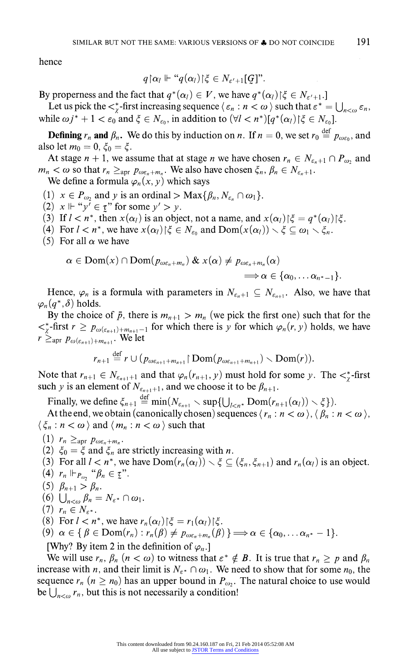**hence** 

$$
q{\restriction}\alpha_l \Vdash ``q(\alpha_l){\restriction}\xi \in N_{\varepsilon'+1}[{\hspace{0.3mm}} {\cal G}]\text{''}.
$$

By properness and the fact that  $q^*(\alpha_l) \in V$ , we have  $q^*(\alpha_l) \upharpoonright \xi \in N_{\varepsilon'+1}$ .]

Let us pick the  $\lt^*_r$ -first increasing sequence  $\langle \varepsilon_n : n \lt \omega \rangle$  such that  $\varepsilon^* = \bigcup_{n \lt \omega} \varepsilon_n$ . while  $\omega j^* + 1 < \varepsilon_0$  and  $\xi \in N_{\varepsilon_0}$ , in addition to  $(\forall l < n^*)[q^*(\alpha_l)|\xi \in N_{\varepsilon_0}]$ .

**Defining**  $r_n$  **and**  $\beta_n$ . We do this by induction on *n*. If  $n = 0$ , we set  $r_0 \stackrel{\text{def}}{=} p_{\text{obs}}$ , and also let  $m_0 = 0, \xi_0 = \xi$ .

At stage  $n + 1$ , we assume that at stage *n* we have chosen  $r_n \in N_{\epsilon_n+1} \cap P_{\omega_2}$  and  $m_n < \omega$  so that  $r_n \geq_{\text{apr}} p_{\omega \varepsilon_n + m_n}$ . We also have chosen  $\xi_n$ ,  $\beta_n \in N_{\varepsilon_n + 1}$ .

We define a formula  $\varphi_n(x, y)$  which says

- (1)  $x \in P_{\omega_2}$  and y is an ordinal >  $\text{Max}\{\beta_n, N_{\varepsilon_n} \cap \omega_1\}.$
- (2)  $x \Vdash "y' \in \underline{\tau}$ " for some  $y' > y$ .
- (3) If  $l < n^*$ , then  $x(\alpha_l)$  is an object, not a name, and  $x(\alpha_l) \xi = q^*(\alpha_l) \xi$ .
- (4) For  $l < n^*$ , we have  $x(\alpha_l) \in K_{\epsilon_0}$  and  $\text{Dom}(x(\alpha_l)) \setminus \xi \subseteq \omega_1 \setminus \xi_n$ .
- (5) For all  $\alpha$  we have

$$
\alpha \in \text{Dom}(x) \cap \text{Dom}(p_{\omega \varepsilon_n + m_n}) \& x(\alpha) \neq p_{\omega \varepsilon_n + m_n}(\alpha) \Rightarrow \alpha \in \{\alpha_0, \ldots \alpha_{n^* - 1}\}.
$$

Hence,  $\varphi_n$  is a formula with parameters in  $N_{\varepsilon_n+1} \subseteq N_{\varepsilon_{n+1}}$ . Also, we have that  $\varphi_n(q^*,\delta)$  holds.

By the choice of  $\bar{p}$ , there is  $m_{n+1} > m_n$  (we pick the first one) such that for the  $\langle \xi \rangle^*$ -first  $r \geq p_{\omega(\varepsilon_{n+1})+m_{n+1}-1}$  for which there is y for which  $\varphi_n(r, y)$  holds, we have  $r \geq_{\rm apr} p_{\omega(\varepsilon_{n+1})+m_{n+1}}$ . We let

$$
r_{n+1} \stackrel{\text{def}}{=} r \cup (p_{\omega \varepsilon_{n+1}+m_{n+1}} \restriction \text{Dom}(p_{\omega \varepsilon_{n+1}+m_{n+1}}) \smallsetminus \text{Dom}(r)).
$$

Note that  $r_{n+1} \in N_{\epsilon_{n+1}+1}$  and that  $\varphi_n(r_{n+1},y)$  must hold for some y. The  $\lt^*_\gamma$ -first such y is an element of  $N_{\epsilon_{n+1}+1}$ , and we choose it to be  $\beta_{n+1}$ .

**Finally, we define**  $\xi_{n+1} \stackrel{\text{def}}{=} \min(N_{\varepsilon_{n+1}} \setminus \sup\{\bigcup_{l < n^*} \text{Dom}(r_{n+1}(\alpha_l)) \setminus \xi\})$ 

At the end, we obtain (canonically chosen) sequences  $\langle r_n : n < \omega \rangle$ ,  $\langle \beta_n : n < \omega \rangle$ ,  $\langle \xi_n : n < \omega \rangle$  and  $\langle m_n : n < \omega \rangle$  such that

- $(1)$   $r_n \geq_{\text{apr}} p_{\omega \varepsilon_n + m_n}$
- (2)  $\xi_0 = \xi$  and  $\xi_n$  are strictly increasing with *n*.
- (3) For all  $l < n^*$ , we have  $\text{Dom}(r_n(\alpha_l)) \setminus \xi \subseteq (\xi_n, \xi_{n+1})$  and  $r_n(\alpha_l)$  is an object.
- **(4)**  $r_n \Vdash_{P_{\omega_2}}$  " $\beta_n \in \mathbb{Z}$ ".
- (5)  $\beta_{n+1} > \beta_n$ .
- (6)  $\bigcup_{n<\omega} \beta_n=N_{\varepsilon^*} \cap \omega_1.$
- $(7)$   $r_n \in N_{\varepsilon^*}.$
- **(8)** For  $l < n^*$ , we have  $r_n(\alpha_l) \upharpoonright \xi = r_1(\alpha_l) \upharpoonright \xi$ .

$$
(9) \ \alpha \in \{ \beta \in \text{Dom}(r_n) : r_n(\beta) \neq p_{\omega \varepsilon_n + m_n}(\beta) \} \Longrightarrow \alpha \in \{ \alpha_0, \ldots \alpha_{n^*} - 1 \}.
$$

[Why? By item 2 in the definition of  $\varphi_n$ .]

We will use  $r_n$ ,  $\beta_n$  ( $n < \omega$ ) to witness that  $\varepsilon^* \notin B$ . It is true that  $r_n \geq p$  and  $\beta_n$ increase with *n*, and their limit is  $N_{\varepsilon} \cap \omega_1$ . We need to show that for some  $n_0$ , the sequence  $r_n$  ( $n \ge n_0$ ) has an upper bound in  $P_{\omega_2}$ . The natural choice to use would be  $\bigcup_{n \leq \omega} r_n$ , but this is not necessarily a condition!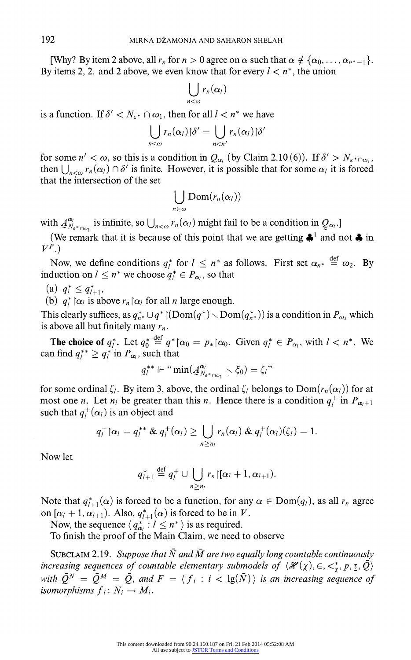**[Why?** By item 2 above, all  $r_n$  for  $n > 0$  agree on  $\alpha$  such that  $\alpha \notin {\alpha_0, \ldots, \alpha_{n^*-1}}$ . By items 2, 2, and 2 above, we even know that for every  $l < n^*$ , the union

$$
\bigcup_{n<\omega} r_n(\alpha_l)
$$

is a function. If  $\delta' < N_{\epsilon^*} \cap \omega_1$ , then for all  $l < n^*$  we have

$$
\bigcup_{n<\omega} r_n(\alpha_l) \, | \delta' = \bigcup_{n
$$

for some  $n' < \omega$ , so this is a condition in  $Q_{\alpha_i}$  (by Claim 2.10 (6)). If  $\delta' > N_{\epsilon^* \cap \omega_1}$ , then  $\bigcup_{n \leq \omega} r_n(\alpha) \cap \delta'$  is finite. However, it is possible that for some  $\alpha_i$  it is forced **that the intersection of the set** 

$$
\bigcup_{n\in\omega}{\rm Dom}(r_n(\alpha_l))
$$

with  $A^{u'}_{N_{\varepsilon} \star_{\cap \omega_1}}$  is infinite, so  $\bigcup_{n \leq \omega} r_n(\alpha_i)$  might fail to be a condition in  $Q_{\alpha_i}$ .]

(We remark that it is because of this point that we are getting  $\clubsuit$ <sup>1</sup> and not  $\clubsuit$  in  $V^P$ .)

Now, we define conditions  $q_l^*$  for  $l \leq n^*$  as follows. First set  $\alpha_{n^*} \stackrel{\text{def}}{=} \omega_2$ . By **induction on**  $l \leq n^*$  we choose  $q_l^* \in P_{\alpha_l}$ , so that

- (a)  $q_l^* \leq q_{l+1}^*$
- (b)  $q_l^*$   $\alpha_l$  is above  $r_n \alpha_l$  for all *n* large enough.

This clearly suffices, as  $q_{n*}^* \cup q^*$  ( $\text{Dom}(q^*)$   $\text{Dom}(q_{n*}^*)$ ) is a condition in  $P_{\omega}$ , which is above all but finitely many  $r_n$ .

**The choice of**  $q_l^*$ . Let  $q_0^* \stackrel{\text{def}}{=} q^* \upharpoonright \alpha_0 = p_* \upharpoonright \alpha_0$ . Given  $q_l^* \in P_{\alpha_l}$ , with  $l < n^*$ . We can find  $q_l^* \geq q_l^*$  in  $P_{\alpha_l}$ , such that

$$
q_i^{**}\Vdash ``\min(\mathcal{A}_{N_{\varepsilon^*\cap\omega_1}}^{\alpha_i}\smallsetminus \xi_0)=\zeta_i"
$$

for some ordinal  $\zeta_l$ . By item 3, above, the ordinal  $\zeta_l$  belongs to  $Dom(r_n(\alpha_l))$  for at most one *n*. Let  $n_1$  be greater than this *n*. Hence there is a condition  $q_1^+$  in  $P_{\alpha_1+1}$ such that  $q_l^+(\alpha_l)$  is an object and

$$
q_l^+ \cap \alpha_l = q_l^{**} \& q_l^+(\alpha_l) \geq \bigcup_{n \geq n_l} r_n(\alpha_l) \& q_l^+(\alpha_l)(\zeta_l) = 1.
$$

**Now let** 

$$
q_{l+1}^* \stackrel{\text{def}}{=} q_l^+ \cup \bigcup_{n \geq n_l} r_n \mathcal{r}_n \cdot [\alpha_l + 1, \alpha_{l+1}).
$$

Note that  $q_{l+1}^*(\alpha)$  is forced to be a function, for any  $\alpha \in \text{Dom}(q_l)$ , as all  $r_n$  agree on  $[\alpha_l + 1, \alpha_{l+1})$ . Also,  $q_{l+1}^*(\alpha)$  is forced to be in V.

Now, the sequence  $\langle q_{\alpha i}^* : l \leq n^* \rangle$  is as required.

**To finish the proof of the Main Claim, we need to observe** 

SUBCLAIM 2.19. Suppose that  $\bar{N}$  and  $\bar{M}$  are two equally long countable continuously increasing sequences of countable elementary submodels of  $\langle \mathcal{H}(\chi), \in, \lt^*_{\chi}, p, \zeta, \bar{Q} \rangle$ with  $\overline{Q}^N = \overline{Q}^M = \overline{Q}$ , and  $F = \langle f_i : i < \lg(\overline{N}) \rangle$  is an increasing sequence of isomorphisms  $f_i: N_i \to M_i$ .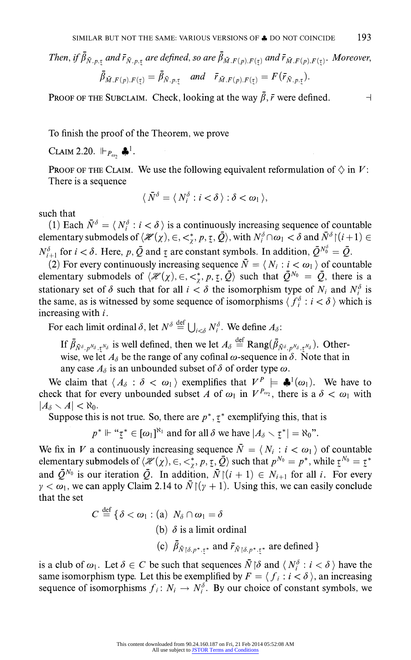$\mathcal{F}$  *Ihen, if*  $\beta_{\bar{N},p,\tau}$  and  $\bar{r}_{\bar{N},p,\tau}$  are defined, so are  $\beta_{\bar{M},F(p),F(\tau)}$  and  $\bar{r}_{\bar{M},F(p),F(\tau)}$ . Moreover,

$$
\beta_{\bar{M},F(p),F(\underline{\tau})}=\beta_{\bar{N},p,\underline{\tau}} \quad \text{and} \quad \bar{r}_{\bar{M},F(p),F(\underline{\tau})}=F(\bar{r}_{\bar{N},p,\underline{\tau}}).
$$

**PROOF OF THE SUBCLAIM.** Check, looking at the way  $\bar{\beta}$ ,  $\bar{r}$  were defined.  $\Box$ 

**To finish the proof of the Theorem, we prove** 

**CLAIM 2.20.**  $\Vdash_{P_{\infty}} \clubsuit^1$ .

**PROOF OF THE CLAIM.** We use the following equivalent reformulation of  $\Diamond$  in V: **There is a sequence** 

$$
\langle \,\bar{N}^{\delta} = \langle\, N_i^{\delta} : i < \delta \,\rangle : \delta < \omega_1 \,\rangle,
$$

**such that** 

(1) Each  $\bar{N}^{\delta} = \langle N_i^{\delta} : i < \delta \rangle$  is a continuously increasing sequence of countable **elementary submodels of**  $\langle \mathcal{H}(\chi), \in, \langle \cdot, \cdot \rangle, p, \tau, \overline{Q} \rangle$ **, with**  $N_i^{\delta} \cap \omega_1 < \delta$  **and**  $\overline{N}^{\delta} \setminus (i+1) \in$  $N_{i+1}^{\delta}$  for  $i < \delta$ . Here, p,  $\bar{Q}$  and  $\bar{Z}$  are constant symbols. In addition,  $\bar{Q}^{N_0^{\delta}} = \bar{Q}$ .

(2) For every continuously increasing sequence  $\overline{N} = \langle N_i : i < \omega_1 \rangle$  of countable **elementary submodels of**  $\langle \mathcal{H}(\chi), \in, \lt^*, p, \underline{\tau}, \overline{Q} \rangle$  such that  $\overline{Q}^{N_0} = \overline{Q}$ , there is a **stationary set of**  $\delta$  **such that for all**  $i < \delta$  **the isomorphism type of**  $N_i$  **and**  $N_i^{\delta}$  **is** the same, as is witnessed by some sequence of isomorphisms  $\langle f_i^{\delta} : i < \delta \rangle$  which is **increasing with i.** 

For each limit ordinal  $\delta$ , let  $N^{\delta} \stackrel{\text{def}}{=} \bigcup_{i < \delta} N_i^{\delta}$ . We define  $A_{\delta}$ :

**If**  $\bar{\beta}_{\bar{N}^{\delta}, p^{N_{\delta}}, \bar{\tau}^{N_{\delta}}}$  is well defined, then we let  $A_{\delta} \stackrel{\text{def}}{=} \text{Rang}(\bar{\beta}_{\bar{N}^{\delta}, p^{N_{\delta}}, \bar{\tau}^{N_{\delta}}})$ . Otherwise, we let  $A_{\delta}$  be the range of any cofinal  $\omega$ -sequence in  $\delta$ . Note that in any case  $A_{\delta}$  is an unbounded subset of  $\delta$  of order type  $\omega$ .

We claim that  $\langle A_{\delta} : \delta < \omega_1 \rangle$  exemplifies that  $V^P \models \clubsuit^1(\omega_1)$ . We have to check that for every unbounded subset A of  $\omega_1$  in  $V^{P_{\omega_2}}$ , there is a  $\delta < \omega_1$  with  $|A_{\delta} \setminus A| < \aleph_0$ .

Suppose this is not true. So, there are  $p^*$ ,  $\tau^*$  exemplifying this, that is

 $p^* \Vdash ``\underline{\tau}^* \in [\omega_1]^{\aleph_1}$  and for all  $\delta$  we have  $|A_{\delta} \setminus \underline{\tau}^*| = \aleph_0"$ .

We fix in V a continuously increasing sequence  $\overline{N} = \langle N_i : i < \omega_1 \rangle$  of countable **elementary submodels of**  $\langle \mathcal{H}(\chi), \in, \lt^*, p, \underline{\tau}, \overline{Q} \rangle$  such that  $p^{N_0} = p^*$ , while  $\underline{\tau}^{N_0} = \underline{\tau}^*$ and  $\overline{Q}^{N_0}$  is our iteration  $\overline{Q}$ . In addition,  $\overline{N} \mid (i + 1) \in N_{i+1}$  for all i. For every  $\gamma < \omega_1$ , we can apply Claim 2.14 to  $\bar{N}$   $(\gamma + 1)$ . Using this, we can easily conclude **that the set** 

$$
C \stackrel{\text{def}}{=} \{ \delta < \omega_1 : (\text{a}) \ N_\delta \cap \omega_1 = \delta
$$
\n
$$
(\text{b}) \ \delta \text{ is a limit ordinal}
$$
\n
$$
(\text{c}) \ \bar{\beta}_{\bar{N} \upharpoonright \delta, p^*, \tau^*} \text{ and } \bar{r}_{\bar{N} \upharpoonright \delta, p^*, \tau^*} \text{ are defined } \}
$$

is a club of  $\omega_1$ . Let  $\delta \in C$  be such that sequences  $\overline{N} \upharpoonright \delta$  and  $\langle N_i^{\delta} : i < \delta \rangle$  have the same isomorphism type. Let this be exemplified by  $F = \langle f_i : i \langle \delta \rangle$ , an increasing sequence of isomorphisms  $f_i: N_i \to N_i^{\delta}$ . By our choice of constant symbols, we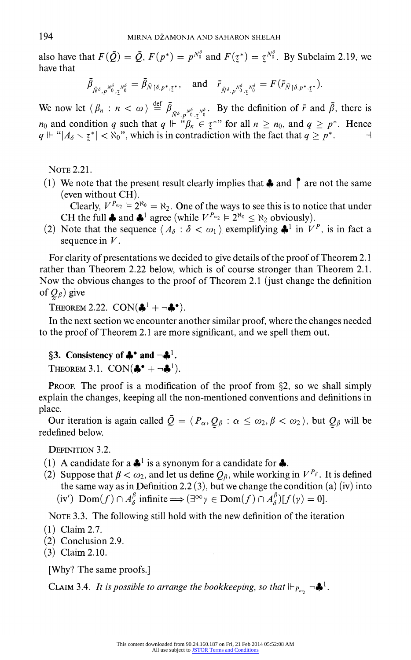also have that  $F(\bar{Q}) = \bar{Q}$ ,  $F(p^*) = p^{N_0^{\delta}}$  and  $F(\tau^*) = \tau^{N_0^{\delta}}$ . By Subclaim 2.19, we **have that** 

$$
\bar{\beta}_{\bar{N}^{\delta},p^{\bar{N}^{\delta}}_{0},\tau^{\bar{N}^{\delta}}_{0}}=\bar{\beta}_{\bar{N}\upharpoonright\delta,p^*,\tau^*},\quad\text{and}\quad\bar{r}_{\bar{N}^{\delta},p^{\bar{N}^{\delta}}_{0},\tau^{\bar{N}^{\delta}}_{0}}=F(\bar{r}_{\bar{N}\upharpoonright\delta,p^*,\tau^*}).
$$

We now let  $\langle \beta_n : n \langle \omega \rangle \stackrel{\text{def}}{=} \overline{\beta}_{\overline{N}^{\delta}, p^{\gamma^{\delta}} \cdot \overline{z}^{\gamma^{\delta}} \cdot \overline{z}^{\gamma^{\delta}} \cdot \overline{z}^{\gamma^{\delta}} \cdot \overline{z}^{\gamma^{\delta}} \cdot \overline{z}^{\gamma^{\delta}} \cdot \overline{z}^{\gamma^{\delta}} \cdot \overline{z}^{\gamma^{\delta}} \cdot \overline{z}^{\gamma^{\delta}} \rangle$ . By the definition of  $\overline{r}$  and  $\over$  $q \Vdash \mathcal{A}_{\delta} \setminus \mathcal{I}_{\delta}^* < \mathcal{R}_0$ , which is in contradiction with the fact that  $q \geq p^*$ .

**NOTE 2.21.** 

(1) We note that the present result clearly implies that  $\clubsuit$  and  $\uparrow$  are not the same **(even without CH).** 

Clearly,  $V^{P_{\omega_2}} \models 2^{\aleph_0} = \aleph_2$ . One of the ways to see this is to notice that under CH the full  $\clubsuit$  and  $\clubsuit$ <sup>1</sup> agree (while  $V^{P_{\omega_2}} \models 2^{\aleph_0} \leq \aleph_2$  obviously).

(2) Note that the sequence  $\langle A_{\delta} : \delta \langle \omega_1 \rangle$  exemplifying  $\clubsuit$ <sup>1</sup> in  $V^P$ , is in fact a **sequence in V.** 

**For clarity of presentations we decided to give details of the proof of Theorem 2.1 rather than Theorem 2.22 below, which is of course stronger than Theorem 2.1. Now the obvious changes to the proof of Theorem 2.1 (just change the definition**  of  $Q_{\beta}$ ) give

**THEOREM 2.22. CON(** $\clubsuit^1 + \neg \clubsuit$ **<sup>•</sup>).** 

**In the next section we encounter another similar proof, where the changes needed to the proof of Theorem 2.1 are more significant, and we spell them out.** 

## §3. Consistency of  $\clubsuit$ <sup>•</sup> and  $\neg \clubsuit$ <sup>1</sup>.

**THEOREM 3.1. CON(** $\clubsuit^{\bullet}$  **+**  $\neg \clubsuit^{\text{1}}$ **).** 

**PROOF.** The proof is a modification of the proof from §2, so we shall simply **explain the changes, keeping all the non-mentioned conventions and definitions in place.** 

Our iteration is again called  $\overline{Q} = \langle P_\alpha, Q_\beta : \alpha \leq \omega_2, \beta < \omega_2 \rangle$ , but  $Q_\beta$  will be **redefined below.** 

**DEFINITION 3.2.** 

- **(1) A candidate for a 41 is a synonym for a candidate for 4.**
- (2) Suppose that  $\beta < \omega_2$ , and let us define  $Q_\beta$ , while working in  $V^{P_\beta}$ . It is defined **the same way as in Definition 2.2 (3), but we change the condition (a) (iv) into**   $(iv')$   $\text{Dom}(f) \cap A^{\beta}_{\lambda}$  infinite  $\Longrightarrow (\exists^{\infty} \gamma \in \text{Dom}(f) \cap A^{\beta}_{\lambda})[f(\gamma) = 0].$

**NOTE 3.3. The following still hold with the new definition of the iteration** 

- **(1) Claim 2.7.**
- **(2) Conclusion 2.9.**
- **(3) Claim 2.10.**

**[Why? The same proofs.]** 

**CLAIM 3.4.** It is possible to arrange the bookkeeping, so that  $\Vdash_{P_{\omega_2}} \neg \clubsuit \cdot \cdot$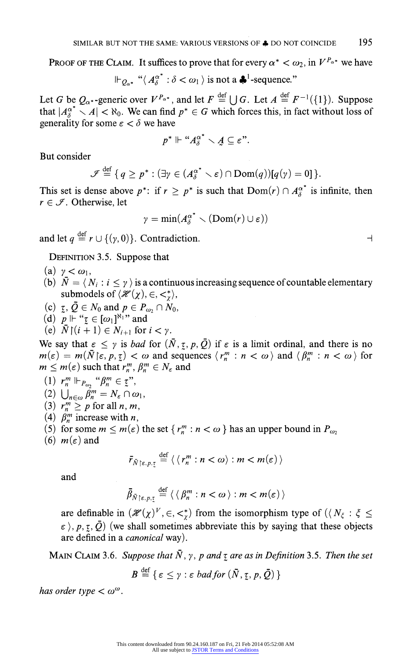**PROOF OF THE CLAIM.** It suffices to prove that for every  $\alpha^* < \omega_2$ , in  $V^{P_{\alpha^*}}$  we have

$$
\Vdash_{Q_{\alpha^*}} \text{``}\langle A^{\alpha^*}_{\delta} : \delta < \omega_1 \rangle \text{ is not a } \clubsuit^1\text{-sequence."}
$$

Let G be  $Q_{\alpha^*}$ -generic over  $V^{P_{\alpha^*}}$ , and let  $F \stackrel{\text{def}}{=} \bigcup G$ . Let  $A \stackrel{\text{def}}{=} F^{-1}(\{1\})$ . Suppose that  $|A_{\lambda}^{\alpha^*} \setminus A| < \aleph_0$ . We can find  $p^* \in G$  which forces this, in fact without loss of generality for some  $\varepsilon < \delta$  we have

$$
p^* \Vdash ``A_{\delta}^{\alpha^*} \setminus A \subseteq \varepsilon".
$$

**But consider** 

$$
\mathscr{I} \stackrel{\text{def}}{=} \{ q \ge p^* : (\exists \gamma \in (A_{\delta}^{\alpha^*} \setminus \varepsilon) \cap \text{Dom}(q))[q(\gamma) = 0] \}.
$$

This set is dense above  $p^*$ : if  $r \ge p^*$  is such that  $Dom(r) \cap A_\delta^{\alpha^*}$  is infinite, then  $r \in \mathcal{I}$ . Otherwise, let

$$
\gamma = \min(A_{\delta}^{\alpha^*} \setminus (Dom(r) \cup \varepsilon))
$$

**and let**  $q \stackrel{\text{def}}{=} r \cup \{(y, 0)\}\)$ . Contradiction.

**DEFINITION 3.5. Suppose that** 

- $(a)$   $\gamma < \omega_1$ ,
- (b)  $\bar{N} = \langle N_i : i \leq \gamma \rangle$  is a continuous increasing sequence of countable elementary **submodels of**  $\langle \mathcal{H}(\chi), \in, \lt^*_{\chi} \rangle$ ,
- $(c)$   $\zeta, \, \overline{Q} \in N_0$  and  $p \in P_{\omega_2} \cap N_0$ ,
- (d)  $p \Vdash "z \in [\omega_1]^{\aleph_1}$ " and
- (e)  $\bar{N} \restriction (i+1) \in N_{i+1}$  for  $i < \gamma$ .

We say that  $\epsilon \leq \gamma$  is *bad* for  $(\bar{N}, \tau, p, \bar{Q})$  if  $\epsilon$  is a limit ordinal, and there is no  $m(\varepsilon) = m(\bar{N}|\varepsilon, p, \tau) < \omega$  and sequences  $\langle r_n^m : n < \omega \rangle$  and  $\langle \beta_n^m : n < \omega \rangle$  for  $m \leq m(\varepsilon)$  such that  $r_n^m$ ,  $\beta_n^m \in N_{\varepsilon}$  and

- $(1)$   $\mathbf{r}_n^m \Vdash_{P_{\omega_2}} \text{``}\beta_n^m \in \mathbf{r}$ ''  $(2)$   $\bigcup_{n\in\omega}\beta_n^m=N_{\varepsilon}\cap\omega_1$  $(3)$   $r_n^m \geq p$  for all *n*, *n* (4)  $\beta_n^m$  increase with *n*,
- (5) for some  $m \le m(\varepsilon)$  the set  $\{r_n^m : n < \omega\}$  has an upper bound in  $P_{\omega_2}$
- (6)  $m(\varepsilon)$  and

$$
\bar{r}_{\bar{N}\restriction \varepsilon, p, \underline{\tau}} \stackrel{\text{def}}{=} \langle \langle r_n^m : n < \omega \rangle : m < m(\varepsilon) \rangle
$$

**and** 

$$
\bar{\beta}_{\bar{N}\restriction \varepsilon,p,\underline{\tau}} \stackrel{\text{def}}{=} \langle \langle \beta_n^m : n < \omega \rangle : m < m(\varepsilon) \rangle
$$

are definable in  $(\mathcal{H}(\chi)^\mathcal{V}, \in, \lt^*_\chi)$  from the isomorphism type of  $(\langle N_\xi : \xi \leq \xi \rangle)$  $\epsilon$ ),  $p, \tau, \bar{Q}$ ) (we shall sometimes abbreviate this by saying that these objects **are defined in a canonical way).** 

**MAIN CLAIM 3.6.** Suppose that  $\overline{N}$ ,  $\gamma$ ,  $p$  and  $\tau$  are as in Definition 3.5. Then the set

$$
B \stackrel{\text{def}}{=} \{ \varepsilon \leq \gamma : \varepsilon \text{ bad} \text{ for } (\bar{N}, \underline{\tau}, p, \bar{Q}) \}
$$

has order type  $< \omega^{\omega}$ .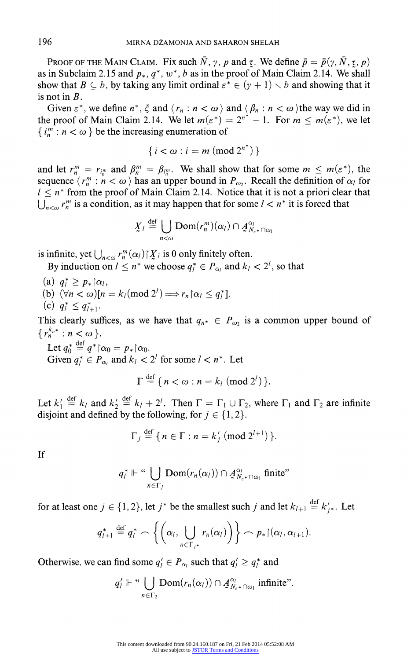**PROOF OF THE MAIN CLAIM.** Fix such  $\bar{N}$ ,  $\gamma$ ,  $p$  and  $\tau$ . We define  $\bar{p} = \bar{p}(\gamma, \bar{N}, \tau, p)$ as in Subclaim 2.15 and  $p_*, q^*, w^*, b$  as in the proof of Main Claim 2.14. We shall show that  $B \subseteq b$ , by taking any limit ordinal  $\varepsilon^* \in (\gamma + 1) \setminus b$  and showing that it **is not in B.** 

Given  $\varepsilon^*$ , we define  $n^*$ ,  $\xi$  and  $\langle r_n : n < \omega \rangle$  and  $\langle \beta_n : n < \omega \rangle$  the way we did in **the proof of Main Claim 2.14.** We let  $m(\varepsilon^*) = 2^{n^*} - 1$ . For  $m \leq m(\varepsilon^*)$ , we let  $\{ i_m^m : n < \omega \}$  be the increasing enumeration of

$$
\{i < \omega : i = m \pmod{2^{n^*}}\}
$$

and let  $r_n^m = r_{i_n^m}$  and  $\beta_n^m = \beta_{i_n^m}$ . We shall show that for some  $m \leq m(\varepsilon^*)$ , the sequence  $\langle r_n^m : n < \omega \rangle$  has an upper bound in  $P_{\omega_2}$ . Recall the definition of  $\alpha_l$  for  $1 \leq n^*$  from the proof of Main Claim 2.14. Notice that it is not a priori clear that  $\bigcup_{n \leq \omega} r_n^m$  is a condition, as it may happen that for some  $l < n^*$  it is forced that

$$
\underline{X}_l \stackrel{\text{def}}{=} \bigcup_{n < \omega} \text{Dom}(r_n^m)(\alpha_l) \cap \underline{A}_{N_{\varepsilon^*} \cap \omega_1}^{\alpha_l}
$$

is infinite, yet  $\bigcup_{n<\omega} r_n^m(\alpha) | X_i|$  is 0 only finitely often.

By induction on  $l \leq n^*$  we choose  $q_l^* \in P_{\alpha_l}$  and  $k_l < 2^l$ , so that

- (a)  $q_i^* \geq p_* \upharpoonright \alpha_l$ ,
- **(b)**  $(\forall n < \omega)[n = k_1 \pmod{2^l} \Longrightarrow r_n \upharpoonright \alpha_l \leq q_l^*].$
- (c)  $q_l^* \leq q_{l+1}^*$ .

This clearly suffices, as we have that  $q_{n^*} \in P_{\omega_2}$  is a common upper bound of  $\{r_n^{k_{n^*}} : n < \omega\}$ .

Let  $q_0^* \stackrel{\text{def}}{=} q^* \upharpoonright \alpha_0 = p_* \upharpoonright \alpha_0$ . Given  $q_i^* \in P_{\alpha_i}$  and  $k_l < 2^l$  for some  $l < n^*$ . Let

$$
\Gamma \stackrel{\text{def}}{=} \{ n < \omega : n = k_l \pmod{2^l} \}.
$$

Let  $k'_1 \stackrel{\text{def}}{=} k_i$  and  $k'_2 \stackrel{\text{def}}{=} k_i + 2^l$ . Then  $\Gamma = \Gamma_1 \cup \Gamma_2$ , where  $\Gamma_1$  and  $\Gamma_2$  are infinite disjoint and defined by the following, for  $j \in \{1, 2\}$ .

$$
\Gamma_j \stackrel{\text{def}}{=} \{ n \in \Gamma : n = k'_j \; (\text{mod } 2^{l+1}) \}.
$$

**If** 

$$
q_l^* \Vdash \text{``}\bigcup_{n \in \Gamma_j} \text{Dom}(r_n(\alpha_l)) \cap \mathcal{A}_{N_{\varepsilon^*} \cap \omega_1}^{\alpha_l} \text{ finite''}
$$

for at least one  $j \in \{1, 2\}$ , let  $j^*$  be the smallest such j and let  $k_{l+1} \stackrel{\text{def}}{=} k'_{i^*}$ . Let

$$
q_{l+1}^* \stackrel{\text{def}}{=} q_l^* \frown \left\{ \left( \alpha_l, \bigcup_{n \in \Gamma_{j^*}} r_n(\alpha_l) \right) \right\} \frown p_* \mathfrak{f}(\alpha_l, \alpha_{l+1}).
$$

Otherwise, we can find some  $q'_i \in P_{\alpha_i}$  such that  $q'_i \geq q_i^*$  and

$$
q'_{l} \Vdash \text{``}\bigcup_{n \in \Gamma_2} \text{Dom}(r_n(\alpha_l)) \cap \mathcal{A}_{N_{\varepsilon^*} \cap \omega_1}^{\alpha_l} \text{ infinite''}.
$$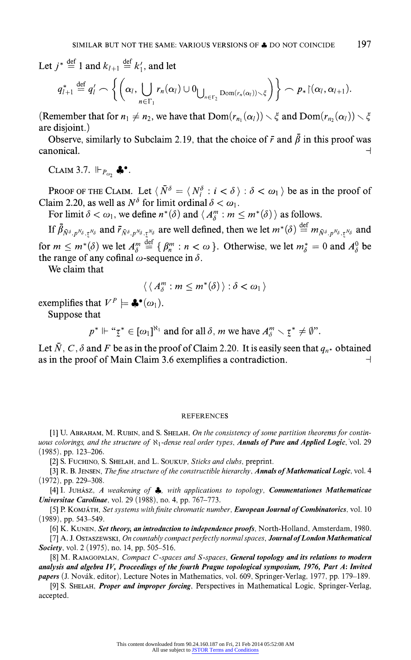Let  $i^* \stackrel{\text{def}}{=} 1$  and  $k_{l+1} \stackrel{\text{def}}{=} k'_1$ , and let

$$
q_{l+1}^* \stackrel{\text{def}}{=} q_l' \frown \left\{ \left( \alpha_l, \bigcup_{n \in \Gamma_1} r_n(\alpha_l) \cup 0_{\bigcup_{n \in \Gamma_2} \text{Dom}(r_n(\alpha_l)) \setminus \xi} \right) \right\} \frown p_* \upharpoonright (\alpha_l, \alpha_{l+1}).
$$

**(Remember that for**  $n_1 \neq n_2$ **, we have that**  $Dom(r_{n_1}(\alpha_1)) \setminus \xi$  **and**  $Dom(r_{n_2}(\alpha_1)) \setminus \xi$ **are disjoint.)** 

Observe, similarly to Subclaim 2.19, that the choice of  $\bar{r}$  and  $\bar{\beta}$  in this proof was **canonical.**  $\rightarrow$ 

**CLAIM 3.7.**  $\Vdash_{P_{\omega_2}} \clubsuit^{\bullet}$ .

**PROOF OF THE CLAIM.** Let  $\langle \bar{N}^{\delta} = \langle N_i^{\delta} : i < \delta \rangle : \delta < \omega_1 \rangle$  be as in the proof of Claim 2.20, as well as  $N^{\delta}$  for limit ordinal  $\delta < \omega_1$ .

For limit  $\delta < \omega_1$ , we define  $n^*(\delta)$  and  $\langle A_3^m : m \leq m^*(\delta) \rangle$  as follows.

**If**  $\bar{\beta}_{\bar{N}^{\delta}, p^{\bar{N}_{\delta}}, \bar{r}^{\bar{N}_{\delta}}}$  and  $\bar{r}_{\bar{N}^{\delta}, p^{\bar{N}_{\delta}}, \bar{r}^{\bar{N}_{\delta}}}$  are well defined, then we let  $m^*(\delta) \stackrel{\text{def}}{=} m_{\bar{N}^{\delta}, p^{\bar{N}_{\delta}}, \bar{r}^{\bar{N}_{\delta}}}$  and for  $m \leq m^*(\delta)$  we let  $A_{\delta}^m \stackrel{\text{def}}{=} \{ \beta_n^m : n < \omega \}$ . Otherwise, we let  $m_{\delta}^* = 0$  and  $A_{\delta}^0$  be the range of any cofinal  $\omega$ -sequence in  $\delta$ .

**We claim that** 

$$
\langle \langle A_{\delta}^m : m \leq m^*(\delta) \rangle : \delta < \omega_1 \rangle
$$

**exemplifies that**  $V^P \models \clubsuit^{\bullet}(\omega_1)$ .

**Suppose that** 

 $p^* \Vdash ``\zeta^* \in [\omega_1]^{\aleph_1}$  and for all  $\delta$ , *m* we have  $A_\delta^m \setminus \zeta^* \neq \emptyset$ ".

Let  $\bar{N}$ , C,  $\delta$  and F be as in the proof of Claim 2.20. It is easily seen that  $q_{n*}$  obtained as in the proof of Main Claim 3.6 exemplifies a contradiction.  $\Box$ 

#### **REFERENCES**

**[1] U. ABRAHAM, M. RUBIN, and S. SHELAH, On the consistency of some partition theorems for contin**uous colorings, and the structure of  $N_1$ -dense real order types, **Annals of Pure and Applied Logic**, vol. 29 **(1985), pp. 123-206.** 

**[2] S. FUCHINO, S. SHELAH, and L. SOUKUP, Sticks and clubs, preprint.** 

[3] R. B. JENSEN, The fine structure of the constructible hierarchy, Annals of Mathematical Logic, vol. 4 **(1972), pp. 229-308.** 

**[4] I. JuHAsz, A Weakening of 4, with applications to topology, Commentationes Mathematicae Universitae Carolinae, vol. 29 (1988), no. 4, pp. 767-773.** 

[5] P. KOMJÁTH, Set systems with finite chromatic number, **European Journal of Combinatorics**, vol. 10 **(1989), pp. 543-549.** 

**[6] K. KUNEN, Set theory, an introduction to independence proofs, North-Holland, Amsterdam, 1980.** 

**[7] A. J. OSTASZEWSKI, On countably compact perfectly normalspaces, Journal ofLondon Mathematical Society, vol. 2 (1975), no. 14, pp. 505-516.** 

**[8] M. RAJAGOPALAN, Compact C-spaces and S-spaces, General topology and its relations to modern analysis and algebra IV, Proceedings of the fourth Prague topological symposium, 1976, Part A: Invited papers (J. Novak, editor), Lecture Notes in Mathematics, vol. 609, Springer-Verlag, 1977, pp. 179-189.** 

**[9] S. SHELAH, Proper and improper forcing, Perspectives in Mathematical Logic, Springer-Verlag, accepted.**